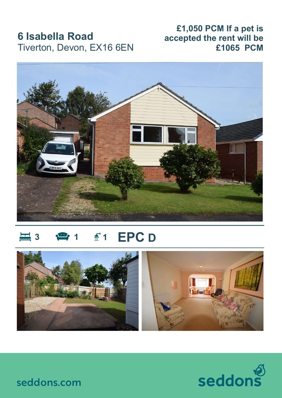## **6 Isabella Road** Tiverton, Devon, EX16 6EN

### **£1,050 PCM If <sup>a</sup> pet is accepted the rent will be £1065 PCM**



# **三** 3 ● 1 <u>€</u> 1 **EPC** D





seddons.com